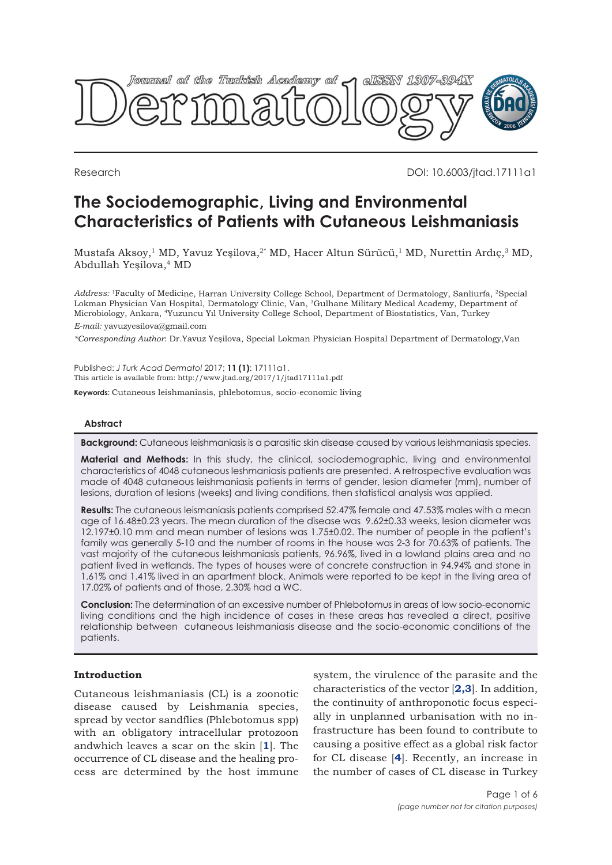

Research DOI: 10.6003/jtad.17111a1

# **The Sociodemographic, Living and Environmental Characteristics of Patients with Cutaneous Leishmaniasis**

Mustafa Aksoy,<sup>1</sup> MD, Yavuz Yeşilova,<sup>2\*</sup> MD, Hacer Altun Sürücü,<sup>1</sup> MD, Nurettin Ardıç,<sup>3</sup> MD, Abdullah Yeşilova,4 MD

*Address:* <sup>1</sup>Faculty of Medicine, Harran University College School, Department of Dermatology, Sanliurfa, <sup>2</sup>Special Lokman Physician Van Hospital, Dermatology Clinic, Van, <sup>3</sup>Gulhane Military Medical Academy, Department of Microbiology, Ankara, <sup>4</sup>Yuzuncu Yıl University College School, Department of Biostatistics, Van, Turkey *E-mail:* yavuzyesilova@gmail.com

*\*Corresponding Author*: Dr.Yavuz Yeşilova, Special Lokman Physician Hospital Department of Dermatology,Van

Published: *J Turk Acad Dermatol* 2017; **11 (1)**: 17111a1. This article is available from: http://www.jtad.org/2017/1/jtad17111a1.pdf

**Keywords:** Cutaneous leishmaniasis, phlebotomus, socio-economic living

## **Abstract**

**Background:** Cutaneous leishmaniasis is a parasitic skin disease caused by various leishmaniasis species.

**Material and Methods:** In this study, the clinical, sociodemographic, living and environmental characteristics of 4048 cutaneous leshmaniasis patients are presented. A retrospective evaluation was made of 4048 cutaneous leishmaniasis patients in terms of gender, lesion diameter (mm), number of lesions, duration of lesions (weeks) and living conditions, then statistical analysis was applied.

**Results:** The cutaneous leismaniasis patients comprised 52.47% female and 47.53% males with a mean age of 16.48±0.23 years. The mean duration of the disease was 9.62±0.33 weeks, lesion diameter was 12.197±0.10 mm and mean number of lesions was 1.75±0.02. The number of people in the patient's family was generally 5-10 and the number of rooms in the house was 2-3 for 70.63% of patients. The vast majority of the cutaneous leishmaniasis patients, 96.96%, lived in a lowland plains area and no patient lived in wetlands. The types of houses were of concrete construction in 94.94% and stone in 1.61% and 1.41% lived in an apartment block. Animals were reported to be kept in the living area of 17.02% of patients and of those, 2.30% had a WC.

**Conclusion:** The determination of an excessive number of Phlebotomus in areas of low socio-economic living conditions and the high incidence of cases in these areas has revealed a direct, positive relationship between cutaneous leishmaniasis disease and the socio-economic conditions of the patients.

## **Introduction**

Cutaneous leishmaniasis (CL) is a zoonotic disease caused by Leishmania species, spread by vector sandflies (Phlebotomus spp) with an obligatory intracellular protozoon andwhich leaves a scar on the skin [**[1](#page-4-0)**]. The occurrence of CL disease and the healing process are determined by the host immune

system, the virulence of the parasite and the characteristics of the vector [**[2,3](#page-4-0)**]. In addition, the continuity of anthroponotic focus especially in unplanned urbanisation with no infrastructure has been found to contribute to causing a positive effect as a global risk factor for CL disease [**[4](#page-4-0)**]. Recently, an increase in the number of cases of CL disease in Turkey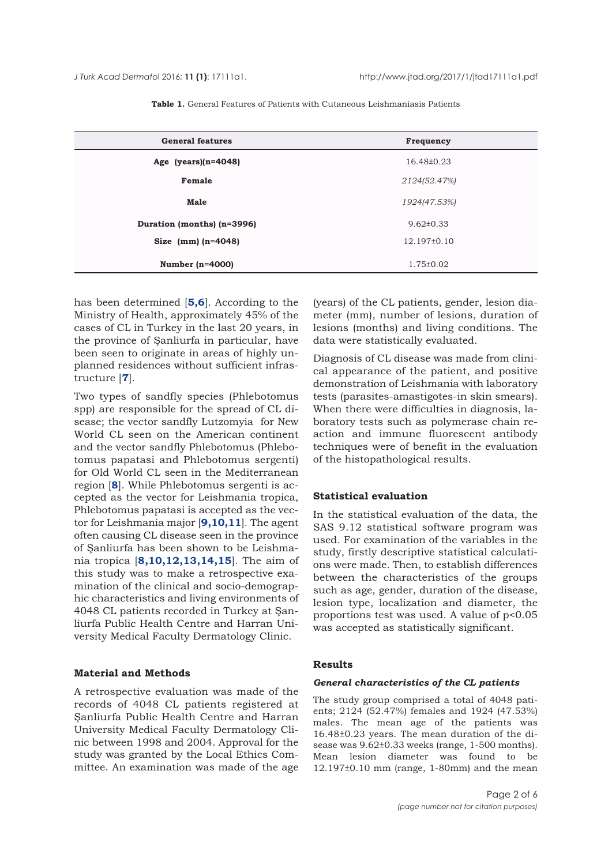<span id="page-1-0"></span>

| <b>General features</b>    | Frequency       |  |  |
|----------------------------|-----------------|--|--|
| Age (years) $(n=4048)$     | 16.48±0.23      |  |  |
| Female                     | 2124(52.47%)    |  |  |
| Male                       | 1924(47.53%)    |  |  |
| Duration (months) (n=3996) | $9.62 \pm 0.33$ |  |  |
| Size $(nm)(n=4048)$        | 12.197±0.10     |  |  |
| Number $(n=4000)$          | $1.75 \pm 0.02$ |  |  |

**Table 1.** General Features of Patients with Cutaneous Leishmaniasis Patients

has been determined [**[5](#page-4-0),[6](#page-4-0)**]. According to the Ministry of Health, approximately 45% of the cases of CL in Turkey in the last 20 years, in the province of Şanliurfa in particular, have been seen to originate in areas of highly unplanned residences without sufficient infrastructure [**[7](#page-4-0)**].

Two types of sandfly species (Phlebotomus spp) are responsible for the spread of CL disease; the vector sandfly Lutzomyia for New World CL seen on the American continent and the vector sandfly Phlebotomus (Phlebotomus papatasi and Phlebotomus sergenti) for Old World CL seen in the Mediterranean region [**[8](#page-4-0)**]. While Phlebotomus sergenti is accepted as the vector for Leishmania tropica, Phlebotomus papatasi is accepted as the vector for Leishmania major [**[9](#page-4-0),[10,11](#page-4-0)**]. The agent often causing CL disease seen in the province of Şanliurfa has been shown to be Leishmania tropica [**[8,10,](#page-4-0)[12,13](#page-5-0),[14](#page-5-0),[15](#page-5-0)**]. The aim of this study was to make a retrospective examination of the clinical and socio-demographic characteristics and living environments of 4048 CL patients recorded in Turkey at Şanliurfa Public Health Centre and Harran University Medical Faculty Dermatology Clinic.

## **Material and Methods**

A retrospective evaluation was made of the records of 4048 CL patients registered at Şanliurfa Public Health Centre and Harran University Medical Faculty Dermatology Clinic between 1998 and 2004. Approval for the study was granted by the Local Ethics Committee. An examination was made of the age

(years) of the CL patients, gender, lesion diameter (mm), number of lesions, duration of lesions (months) and living conditions. The data were statistically evaluated.

Diagnosis of CL disease was made from clinical appearance of the patient, and positive demonstration of Leishmania with laboratory tests (parasites-amastigotes-in skin smears). When there were difficulties in diagnosis, laboratory tests such as polymerase chain reaction and immune fluorescent antibody techniques were of benefit in the evaluation of the histopathological results.

### **Statistical evaluation**

In the statistical evaluation of the data, the SAS 9.12 statistical software program was used. For examination of the variables in the study, firstly descriptive statistical calculations were made. Then, to establish differences between the characteristics of the groups such as age, gender, duration of the disease, lesion type, localization and diameter, the proportions test was used. A value of p<0.05 was accepted as statistically significant.

#### **Results**

#### *General characteristics of the CL patients*

The study group comprised a total of 4048 patients; 2124 (52.47%) females and 1924 (47.53%) males. The mean age of the patients was 16.48±0.23 years. The mean duration of the disease was 9.62±0.33 weeks (range, 1-500 months). Mean lesion diameter was found to be 12.197±0.10 mm (range, 1-80mm) and the mean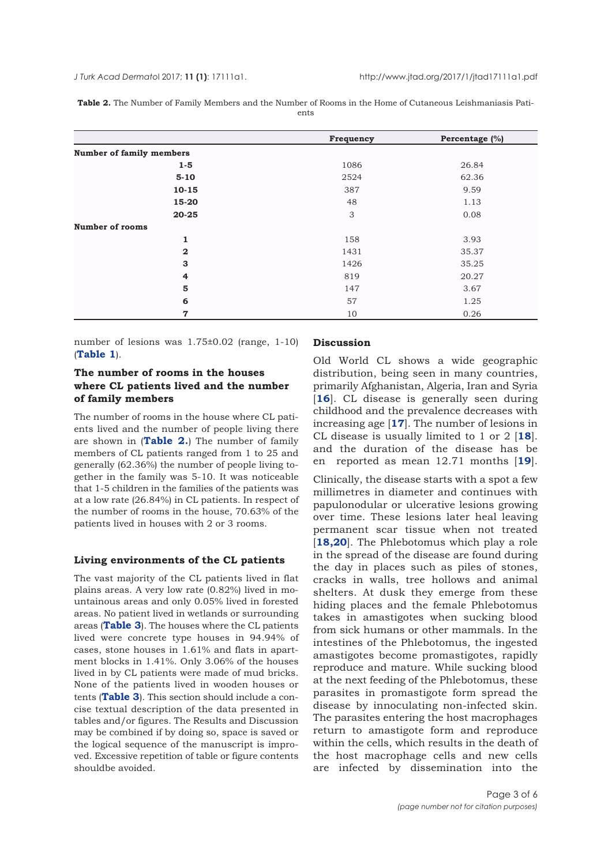*J Turk Acad Dermato*l 2017; **11 (1)**: 17111a1. http://www.jtad.org/2017/1/jtad17111a1.pdf

**Table 2.** The Number of Family Members and the Number of Rooms in the Home of Cutaneous Leishmaniasis Patients

|                                 | Frequency | Percentage (%) |
|---------------------------------|-----------|----------------|
| <b>Number of family members</b> |           |                |
| $1 - 5$                         | 1086      | 26.84          |
| $5 - 10$                        | 2524      | 62.36          |
| $10 - 15$                       | 387       | 9.59           |
| 15-20                           | 48        | 1.13           |
| $20 - 25$                       | 3         | 0.08           |
| <b>Number of rooms</b>          |           |                |
| 1                               | 158       | 3.93           |
| $\overline{\mathbf{2}}$         | 1431      | 35.37<br>35.25 |
| 3                               | 1426      |                |
| 4                               | 819       | 20.27          |
| 5                               | 147       | 3.67           |
| 6                               | 57        | 1.25           |
| $\mathbf 7$                     | 10        | 0.26           |

number of lesions was 1.75±0.02 (range, 1-10) (**[Table 1](#page-1-0)**).

## **The number of rooms in the houses where CL patients lived and the number of family members**

The number of rooms in the house where CL patients lived and the number of people living there are shown in (**Table 2.**) The number of family members of CL patients ranged from 1 to 25 and generally (62.36%) the number of people living together in the family was 5-10. It was noticeable that 1-5 children in the families of the patients was at a low rate (26.84%) in CL patients. In respect of the number of rooms in the house, 70.63% of the patients lived in houses with 2 or 3 rooms.

## **Living environments of the CL patients**

The vast majority of the CL patients lived in flat plains areas. A very low rate (0.82%) lived in mountainous areas and only 0.05% lived in forested areas. No patient lived in wetlands or surrounding areas (**[Table 3](#page-3-0)**). The houses where the CL patients lived were concrete type houses in 94.94% of cases, stone houses in 1.61% and flats in apartment blocks in 1.41%. Only 3.06% of the houses lived in by CL patients were made of mud bricks. None of the patients lived in wooden houses or tents (**[Table 3](#page-3-0)**). This section should include a concise textual description of the data presented in tables and/or figures. The Results and Discussion may be combined if by doing so, space is saved or the logical sequence of the manuscript is improved. Excessive repetition of table or figure contents shouldbe avoided.

#### **Discussion**

Old World CL shows a wide geographic distribution, being seen in many countries, primarily Afghanistan, Algeria, Iran and Syria [[16](#page-5-0)]. CL disease is generally seen during childhood and the prevalence decreases with increasing age [**[17](#page-5-0)**]. The number of lesions in CL disease is usually limited to 1 or 2 [**[18](#page-5-0)**]. and the duration of the disease has be en reported as mean 12.71 months [**[19](#page-5-0)**].

Clinically, the disease starts with a spot a few millimetres in diameter and continues with papulonodular or ulcerative lesions growing over time. These lesions later heal leaving permanent scar tissue when not treated [**[18,20](#page-5-0)**]. The Phlebotomus which play a role in the spread of the disease are found during the day in places such as piles of stones, cracks in walls, tree hollows and animal shelters. At dusk they emerge from these hiding places and the female Phlebotomus takes in amastigotes when sucking blood from sick humans or other mammals. In the intestines of the Phlebotomus, the ingested amastigotes become promastigotes, rapidly reproduce and mature. While sucking blood at the next feeding of the Phlebotomus, these parasites in promastigote form spread the disease by innoculating non-infected skin. The parasites entering the host macrophages return to amastigote form and reproduce within the cells, which results in the death of the host macrophage cells and new cells are infected by dissemination into the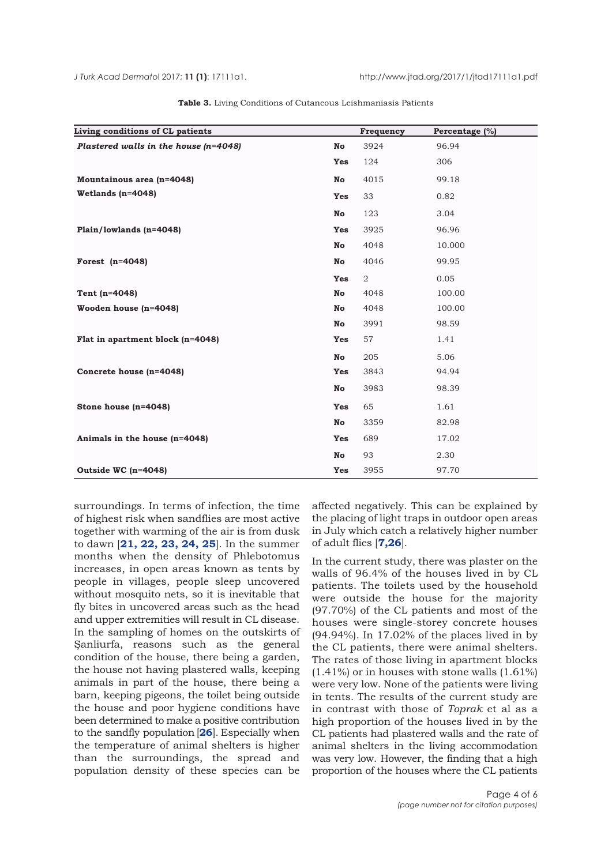<span id="page-3-0"></span>

| Living conditions of CL patients        |            | Frequency      | Percentage (%) |
|-----------------------------------------|------------|----------------|----------------|
| Plastered walls in the house $(n=4048)$ | No         | 3924           | 96.94          |
|                                         | <b>Yes</b> | 124            | 306            |
| Mountainous area (n=4048)               | No         | 4015           | 99.18          |
| Wetlands $(n=4048)$                     | <b>Yes</b> | 33             | 0.82           |
|                                         | No         | 123            | 3.04           |
| Plain/lowlands $(n=4048)$               | <b>Yes</b> | 3925           | 96.96          |
|                                         | No         | 4048           | 10.000         |
| Forest $(n=4048)$                       | No         | 4046           | 99.95          |
|                                         | <b>Yes</b> | $\overline{2}$ | 0.05           |
| Tent (n=4048)                           | No         | 4048           | 100.00         |
| Wooden house (n=4048)                   | No         | 4048           | 100.00         |
|                                         | No         | 3991           | 98.59          |
| Flat in apartment block (n=4048)        | <b>Yes</b> | 57             | 1.41           |
|                                         | No         | 205            | 5.06           |
| Concrete house (n=4048)                 | <b>Yes</b> | 3843           | 94.94          |
|                                         | No         | 3983           | 98.39          |
| Stone house $(n=4048)$                  | <b>Yes</b> | 65             | 1.61           |
|                                         | No         | 3359           | 82.98          |
| Animals in the house (n=4048)           | <b>Yes</b> | 689            | 17.02          |
|                                         | No         | 93             | 2.30           |
| Outside WC (n=4048)                     | Yes        | 3955           | 97.70          |

**Table 3.** Living Conditions of Cutaneous Leishmaniasis Patients

surroundings. In terms of infection, the time of highest risk when sandflies are most active together with warming of the air is from dusk to dawn [**[21](#page-5-0), [22](#page-5-0), [23](#page-5-0), [24](#page-5-0), [25](#page-5-0)**]. In the summer months when the density of Phlebotomus increases, in open areas known as tents by people in villages, people sleep uncovered without mosquito nets, so it is inevitable that fly bites in uncovered areas such as the head and upper extremities will result in CL disease. In the sampling of homes on the outskirts of Şanliurfa, reasons such as the general condition of the house, there being a garden, the house not having plastered walls, keeping animals in part of the house, there being a barn, keeping pigeons, the toilet being outside the house and poor hygiene conditions have been determined to make a positive contribution to the sandfly population [**[26](#page-5-0)**]. Especially when the temperature of animal shelters is higher than the surroundings, the spread and population density of these species can be

affected negatively. This can be explained by the placing of light traps in outdoor open areas in July which catch a relatively higher number of adult flies [**[7](#page-4-0),[26](#page-5-0)**].

In the current study, there was plaster on the walls of 96.4% of the houses lived in by CL patients. The toilets used by the household were outside the house for the majority (97.70%) of the CL patients and most of the houses were single-storey concrete houses (94.94%). In 17.02% of the places lived in by the CL patients, there were animal shelters. The rates of those living in apartment blocks (1.41%) or in houses with stone walls (1.61%) were very low. None of the patients were living in tents. The results of the current study are in contrast with those of *Toprak* et al as a high proportion of the houses lived in by the CL patients had plastered walls and the rate of animal shelters in the living accommodation was very low. However, the finding that a high proportion of the houses where the CL patients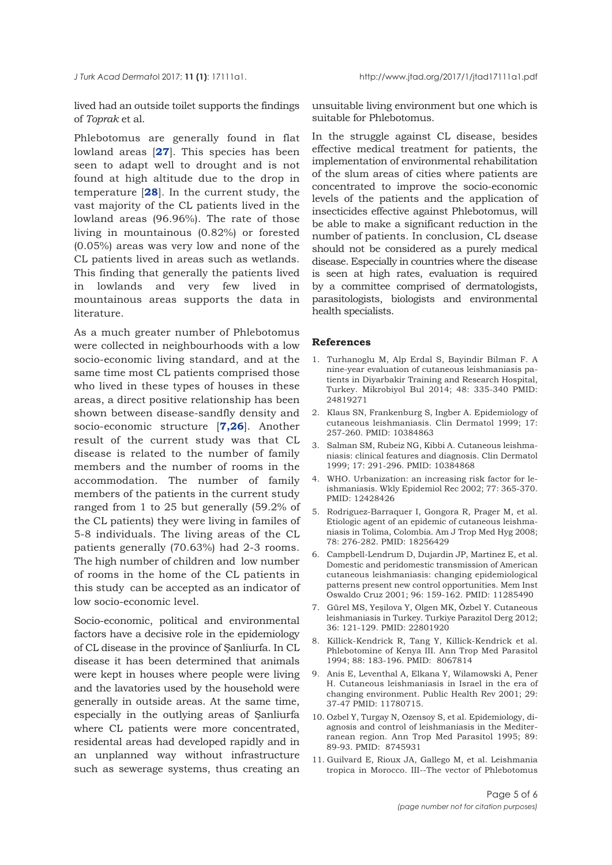<span id="page-4-0"></span>lived had an outside toilet supports the findings of *Toprak* et al.

Phlebotomus are generally found in flat lowland areas [**[27](#page-5-0)**]. This species has been seen to adapt well to drought and is not found at high altitude due to the drop in temperature [**[28](#page-5-0)**]. In the current study, the vast majority of the CL patients lived in the lowland areas (96.96%). The rate of those living in mountainous (0.82%) or forested (0.05%) areas was very low and none of the CL patients lived in areas such as wetlands. This finding that generally the patients lived in lowlands and very few lived in mountainous areas supports the data in literature.

As a much greater number of Phlebotomus were collected in neighbourhoods with a low socio-economic living standard, and at the same time most CL patients comprised those who lived in these types of houses in these areas, a direct positive relationship has been shown between disease-sandfly density and socio-economic structure [**7,[26](#page-5-0)**]. Another result of the current study was that CL disease is related to the number of family members and the number of rooms in the accommodation. The number of family members of the patients in the current study ranged from 1 to 25 but generally (59.2% of the CL patients) they were living in familes of 5-8 individuals. The living areas of the CL patients generally (70.63%) had 2-3 rooms. The high number of children and low number of rooms in the home of the CL patients in this study can be accepted as an indicator of low socio-economic level.

Socio-economic, political and environmental factors have a decisive role in the epidemiology of CL disease in the province of Şanliurfa. In CL disease it has been determined that animals were kept in houses where people were living and the lavatories used by the household were generally in outside areas. At the same time, especially in the outlying areas of Şanliurfa where CL patients were more concentrated, residental areas had developed rapidly and in an unplanned way without infrastructure such as sewerage systems, thus creating an unsuitable living environment but one which is suitable for Phlebotomus.

In the struggle against CL disease, besides effective medical treatment for patients, the implementation of environmental rehabilitation of the slum areas of cities where patients are concentrated to improve the socio-economic levels of the patients and the application of insecticides effective against Phlebotomus, will be able to make a significant reduction in the number of patients. In conclusion, CL dsease should not be considered as a purely medical disease. Especially in countries where the disease is seen at high rates, evaluation is required by a committee comprised of dermatologists, parasitologists, biologists and environmental health specialists.

### **References**

- 1. Turhanoglu M, Alp Erdal S, Bayindir Bilman F. A nine-year evaluation of cutaneous leishmaniasis patients in Diyarbakir Training and Research Hospital, Turkey. Mikrobiyol Bul 2014; 48: 335-340 PMID: 24819271
- 2. Klaus SN, Frankenburg S, Ingber A. Epidemiology of cutaneous leishmaniasis. Clin Dermatol 1999; 17: 257-260. PMID: 10384863
- 3. Salman SM, Rubeiz NG, Kibbi A. Cutaneous leishmaniasis: clinical features and diagnosis. Clin Dermatol 1999; 17: 291-296. PMID: 10384868
- 4. WHO. Urbanization: an increasing risk factor for leishmaniasis. Wkly Epidemiol Rec 2002; 77: 365-370. PMID: 12428426
- 5. Rodriguez-Barraquer I, Gongora R, Prager M, et al. Etiologic agent of an epidemic of cutaneous leishmaniasis in Tolima, Colombia. Am J Trop Med Hyg 2008; 78: 276-282. PMID: 18256429
- 6. Campbell-Lendrum D, Dujardin JP, Martinez E, et al. Domestic and peridomestic transmission of American cutaneous leishmaniasis: changing epidemiological patterns present new control opportunities. Mem Inst Oswaldo Cruz 2001; 96: 159-162. PMID: 11285490
- 7. Gürel MS, Yeşilova Y, Olgen MK, Özbel Y. Cutaneous leishmaniasis in Turkey. Turkiye Parazitol Derg 2012; 36: 121-129. PMID: 22801920
- 8. Killick-Kendrick R, Tang Y, Killick-Kendrick et al. Phlebotomine of Kenya III. Ann Trop Med Parasitol 1994; 88: 183-196. PMID: 8067814
- 9. Anis E, Leventhal A, Elkana Y, Wilamowski A, Pener H. Cutaneous leishmaniasis in Israel in the era of changing environment. Public Health Rev 2001; 29: 37-47 PMID: 11780715.
- 10. Ozbel Y, Turgay N, Ozensoy S, et al. Epidemiology, diagnosis and control of leishmaniasis in the Mediterranean region. Ann Trop Med Parasitol 1995; 89: 89-93. PMID: 8745931
- 11. Guilvard E, Rioux JA, Gallego M, et al. Leishmania tropica in Morocco. III--The vector of Phlebotomus